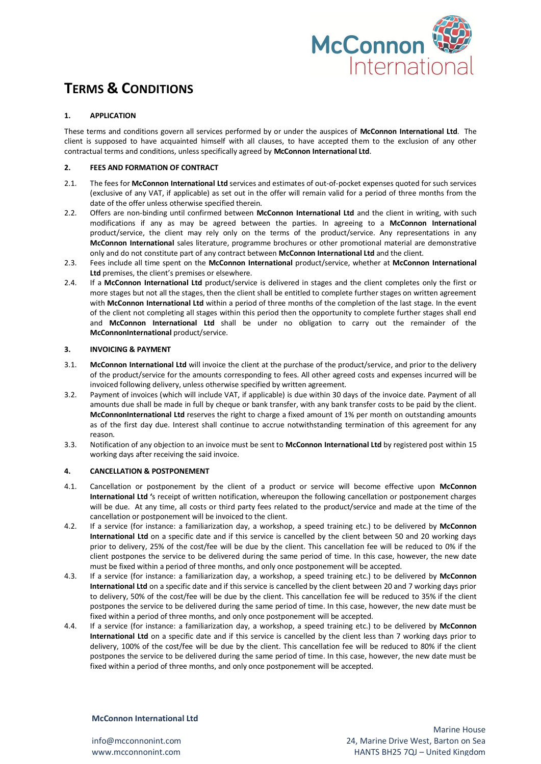

# **TERMS & CONDITIONS**

# **1. APPLICATION**

These terms and conditions govern all services performed by or under the auspices of **McConnon International Ltd**. The client is supposed to have acquainted himself with all clauses, to have accepted them to the exclusion of any other contractual terms and conditions, unless specifically agreed by **McConnon International Ltd**.

# **2. FEES AND FORMATION OF CONTRACT**

- 2.1. The fees for **McConnon International Ltd** services and estimates of out-of-pocket expenses quoted for such services (exclusive of any VAT, if applicable) as set out in the offer will remain valid for a period of three months from the date of the offer unless otherwise specified therein.
- 2.2. Offers are non-binding until confirmed between **McConnon International Ltd** and the client in writing, with such modifications if any as may be agreed between the parties. In agreeing to a **McConnon International**  product/service, the client may rely only on the terms of the product/service. Any representations in any **McConnon International** sales literature, programme brochures or other promotional material are demonstrative only and do not constitute part of any contract between **McConnon International Ltd** and the client.
- 2.3. Fees include all time spent on the **McConnon International** product/service, whether at **McConnon International Ltd** premises, the client's premises or elsewhere.
- 2.4. If a **McConnon International Ltd** product/service is delivered in stages and the client completes only the first or more stages but not all the stages, then the client shall be entitled to complete further stages on written agreement with **McConnon International Ltd** within a period of three months of the completion of the last stage. In the event of the client not completing all stages within this period then the opportunity to complete further stages shall end and **McConnon International Ltd** shall be under no obligation to carry out the remainder of the **McConnonInternational** product/service.

## **3. INVOICING & PAYMENT**

- 3.1. **McConnon International Ltd** will invoice the client at the purchase of the product/service, and prior to the delivery of the product/service for the amounts corresponding to fees. All other agreed costs and expenses incurred will be invoiced following delivery, unless otherwise specified by written agreement.
- 3.2. Payment of invoices (which will include VAT, if applicable) is due within 30 days of the invoice date. Payment of all amounts due shall be made in full by cheque or bank transfer, with any bank transfer costs to be paid by the client. **McConnonInternational Ltd** reserves the right to charge a fixed amount of 1% per month on outstanding amounts as of the first day due. Interest shall continue to accrue notwithstanding termination of this agreement for any reason.
- 3.3. Notification of any objection to an invoice must be sent to **McConnon International Ltd** by registered post within 15 working days after receiving the said invoice.

## **4. CANCELLATION & POSTPONEMENT**

- 4.1. Cancellation or postponement by the client of a product or service will become effective upon **McConnon International Ltd '**s receipt of written notification, whereupon the following cancellation or postponement charges will be due. At any time, all costs or third party fees related to the product/service and made at the time of the cancellation or postponement will be invoiced to the client.
- 4.2. If a service (for instance: a familiarization day, a workshop, a speed training etc.) to be delivered by **McConnon International Ltd** on a specific date and if this service is cancelled by the client between 50 and 20 working days prior to delivery, 25% of the cost/fee will be due by the client. This cancellation fee will be reduced to 0% if the client postpones the service to be delivered during the same period of time. In this case, however, the new date must be fixed within a period of three months, and only once postponement will be accepted.
- 4.3. If a service (for instance: a familiarization day, a workshop, a speed training etc.) to be delivered by **McConnon International Ltd** on a specific date and if this service is cancelled by the client between 20 and 7 working days prior to delivery, 50% of the cost/fee will be due by the client. This cancellation fee will be reduced to 35% if the client postpones the service to be delivered during the same period of time. In this case, however, the new date must be fixed within a period of three months, and only once postponement will be accepted.
- 4.4. If a service (for instance: a familiarization day, a workshop, a speed training etc.) to be delivered by **McConnon International Ltd** on a specific date and if this service is cancelled by the client less than 7 working days prior to delivery, 100% of the cost/fee will be due by the client. This cancellation fee will be reduced to 80% if the client postpones the service to be delivered during the same period of time. In this case, however, the new date must be fixed within a period of three months, and only once postponement will be accepted.

# **McConnon International Ltd**

info@mcconnonint.com www.mcconnonint.com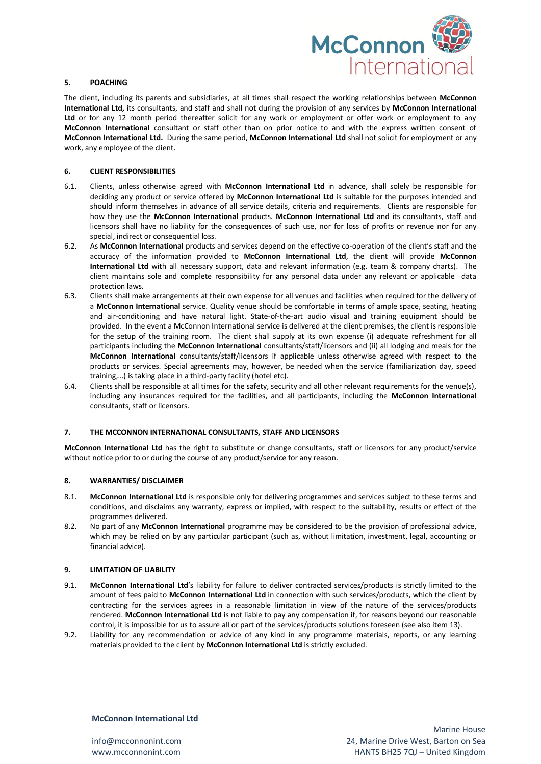

#### **5. POACHING**

The client, including its parents and subsidiaries, at all times shall respect the working relationships between **McConnon International Ltd,** its consultants, and staff and shall not during the provision of any services by **McConnon International Ltd** or for any 12 month period thereafter solicit for any work or employment or offer work or employment to any **McConnon International** consultant or staff other than on prior notice to and with the express written consent of **McConnon International Ltd.** During the same period, **McConnon International Ltd** shall not solicit for employment or any work, any employee of the client.

### **6. CLIENT RESPONSIBILITIES**

- 6.1. Clients, unless otherwise agreed with **McConnon International Ltd** in advance, shall solely be responsible for deciding any product or service offered by **McConnon International Ltd** is suitable for the purposes intended and should inform themselves in advance of all service details, criteria and requirements. Clients are responsible for how they use the **McConnon International** products. **McConnon International Ltd** and its consultants, staff and licensors shall have no liability for the consequences of such use, nor for loss of profits or revenue nor for any special, indirect or consequential loss.
- 6.2. As **McConnon International** products and services depend on the effective co-operation of the client's staff and the accuracy of the information provided to **McConnon International Ltd**, the client will provide **McConnon International Ltd** with all necessary support, data and relevant information (e.g. team & company charts). The client maintains sole and complete responsibility for any personal data under any relevant or applicable data protection laws.
- 6.3. Clients shall make arrangements at their own expense for all venues and facilities when required for the delivery of a **McConnon International** service. Quality venue should be comfortable in terms of ample space, seating, heating and air-conditioning and have natural light. State-of-the-art audio visual and training equipment should be provided. In the event a McConnon International service is delivered at the client premises, the client is responsible for the setup of the training room. The client shall supply at its own expense (i) adequate refreshment for all participants including the **McConnon International** consultants/staff/licensors and (ii) all lodging and meals for the **McConnon International** consultants/staff/licensors if applicable unless otherwise agreed with respect to the products or services. Special agreements may, however, be needed when the service (familiarization day, speed training,…) is taking place in a third-party facility (hotel etc).
- 6.4. Clients shall be responsible at all times for the safety, security and all other relevant requirements for the venue(s), including any insurances required for the facilities, and all participants, including the **McConnon International**  consultants, staff or licensors.

#### **7. THE MCCONNON INTERNATIONAL CONSULTANTS, STAFF AND LICENSORS**

**McConnon International Ltd** has the right to substitute or change consultants, staff or licensors for any product/service without notice prior to or during the course of any product/service for any reason.

#### **8. WARRANTIES/ DISCLAIMER**

- 8.1. **McConnon International Ltd** is responsible only for delivering programmes and services subject to these terms and conditions, and disclaims any warranty, express or implied, with respect to the suitability, results or effect of the programmes delivered.
- 8.2. No part of any **McConnon International** programme may be considered to be the provision of professional advice, which may be relied on by any particular participant (such as, without limitation, investment, legal, accounting or financial advice).

## **9. LIMITATION OF LIABILITY**

- 9.1. **McConnon International Ltd**'s liability for failure to deliver contracted services/products is strictly limited to the amount of fees paid to **McConnon International Ltd** in connection with such services/products, which the client by contracting for the services agrees in a reasonable limitation in view of the nature of the services/products rendered. **McConnon International Ltd** is not liable to pay any compensation if, for reasons beyond our reasonable control, it is impossible for us to assure all or part of the services/products solutions foreseen (see also item 13).
- 9.2. Liability for any recommendation or advice of any kind in any programme materials, reports, or any learning materials provided to the client by **McConnon International Ltd** is strictly excluded.

# **McConnon International Ltd**

info@mcconnonint.com www.mcconnonint.com